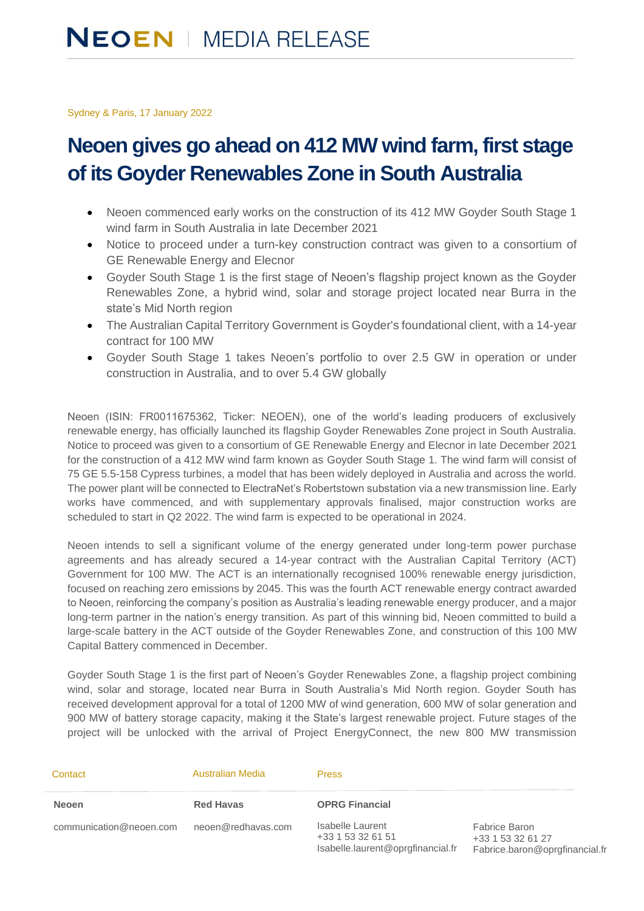Sydney & Paris, 17 January 2022

## **Neoen gives go ahead on 412 MW wind farm, first stage of its Goyder Renewables Zone in South Australia**

- Neoen commenced early works on the construction of its 412 MW Goyder South Stage 1 wind farm in South Australia in late December 2021
- Notice to proceed under a turn-key construction contract was given to a consortium of GE Renewable Energy and Elecnor
- Goyder South Stage 1 is the first stage of Neoen's flagship project known as the Goyder Renewables Zone, a hybrid wind, solar and storage project located near Burra in the state's Mid North region
- The Australian Capital Territory Government is Goyder's foundational client, with a 14-year contract for 100 MW
- Goyder South Stage 1 takes Neoen's portfolio to over 2.5 GW in operation or under construction in Australia, and to over 5.4 GW globally

Neoen (ISIN: FR0011675362, Ticker: NEOEN), one of the world's leading producers of exclusively renewable energy, has officially launched its flagship Goyder Renewables Zone project in South Australia. Notice to proceed was given to a consortium of GE Renewable Energy and Elecnor in late December 2021 for the construction of a 412 MW wind farm known as Goyder South Stage 1. The wind farm will consist of 75 GE 5.5-158 Cypress turbines, a model that has been widely deployed in Australia and across the world. The power plant will be connected to ElectraNet's Robertstown substation via a new transmission line. Early works have commenced, and with supplementary approvals finalised, major construction works are scheduled to start in Q2 2022. The wind farm is expected to be operational in 2024.

Neoen intends to sell a significant volume of the energy generated under long-term power purchase agreements and has already secured a 14-year contract with the Australian Capital Territory (ACT) Government for 100 MW. The ACT is an internationally recognised 100% renewable energy jurisdiction, focused on reaching zero emissions by 2045. This was the fourth ACT renewable energy contract awarded to Neoen, reinforcing the company's position as Australia's leading renewable energy producer, and a major long-term partner in the nation's energy transition. As part of this winning bid, Neoen committed to build a large-scale battery in the ACT outside of the Goyder Renewables Zone, and construction of this 100 MW Capital Battery commenced in December.

Goyder South Stage 1 is the first part of Neoen's Goyder Renewables Zone, a flagship project combining wind, solar and storage, located near Burra in South Australia's Mid North region. Goyder South has received development approval for a total of 1200 MW of wind generation, 600 MW of solar generation and 900 MW of battery storage capacity, making it the State's largest renewable project. Future stages of the project will be unlocked with the arrival of Project EnergyConnect, the new 800 MW transmission

| Contact                 | <b>Australian Media</b> | <b>Press</b>                                                               |                                                                             |
|-------------------------|-------------------------|----------------------------------------------------------------------------|-----------------------------------------------------------------------------|
| <b>Neoen</b>            | <b>Red Havas</b>        | <b>OPRG Financial</b>                                                      |                                                                             |
| communication@neoen.com | neoen@redhavas.com      | Isabelle Laurent<br>+33 1 53 32 61 51<br>Isabelle.laurent@oprgfinancial.fr | <b>Fabrice Baron</b><br>+33 1 53 32 61 27<br>Fabrice.baron@oprgfinancial.fr |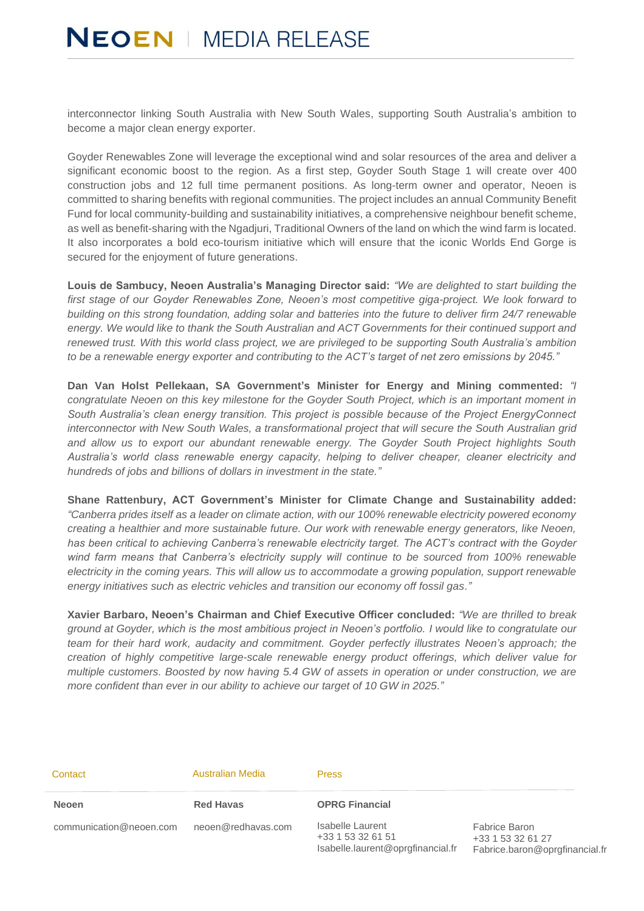interconnector linking South Australia with New South Wales, supporting South Australia's ambition to become a major clean energy exporter.

Goyder Renewables Zone will leverage the exceptional wind and solar resources of the area and deliver a significant economic boost to the region. As a first step, Goyder South Stage 1 will create over 400 construction jobs and 12 full time permanent positions. As long-term owner and operator, Neoen is committed to sharing benefits with regional communities. The project includes an annual Community Benefit Fund for local community-building and sustainability initiatives, a comprehensive neighbour benefit scheme, as well as benefit-sharing with the Ngadjuri, Traditional Owners of the land on which the wind farm is located. It also incorporates a bold eco-tourism initiative which will ensure that the iconic Worlds End Gorge is secured for the enjoyment of future generations.

**Louis de Sambucy, Neoen Australia's Managing Director said:** *"We are delighted to start building the first stage of our Goyder Renewables Zone, Neoen's most competitive giga-project. We look forward to building on this strong foundation, adding solar and batteries into the future to deliver firm 24/7 renewable energy. We would like to thank the South Australian and ACT Governments for their continued support and renewed trust. With this world class project, we are privileged to be supporting South Australia's ambition to be a renewable energy exporter and contributing to the ACT's target of net zero emissions by 2045."*

**Dan Van Holst Pellekaan, SA Government's Minister for Energy and Mining commented:** *"I congratulate Neoen on this key milestone for the Goyder South Project, which is an important moment in South Australia's clean energy transition. This project is possible because of the Project EnergyConnect interconnector with New South Wales, a transformational project that will secure the South Australian grid and allow us to export our abundant renewable energy. The Goyder South Project highlights South Australia's world class renewable energy capacity, helping to deliver cheaper, cleaner electricity and hundreds of jobs and billions of dollars in investment in the state."*

**Shane Rattenbury, ACT Government's Minister for Climate Change and Sustainability added:**  *"Canberra prides itself as a leader on climate action, with our 100% renewable electricity powered economy creating a healthier and more sustainable future. Our work with renewable energy generators, like Neoen, has been critical to achieving Canberra's renewable electricity target. The ACT's contract with the Goyder wind farm means that Canberra's electricity supply will continue to be sourced from 100% renewable electricity in the coming years. This will allow us to accommodate a growing population, support renewable energy initiatives such as electric vehicles and transition our economy off fossil gas."*

**Xavier Barbaro, Neoen's Chairman and Chief Executive Officer concluded:** *"We are thrilled to break ground at Goyder, which is the most ambitious project in Neoen's portfolio. I would like to congratulate our team for their hard work, audacity and commitment. Goyder perfectly illustrates Neoen's approach; the creation of highly competitive large-scale renewable energy product offerings, which deliver value for multiple customers. Boosted by now having 5.4 GW of assets in operation or under construction, we are more confident than ever in our ability to achieve our target of 10 GW in 2025."*

| Contact                 | <b>Australian Media</b> | <b>Press</b>                                                               |                                                                      |
|-------------------------|-------------------------|----------------------------------------------------------------------------|----------------------------------------------------------------------|
| <b>Neoen</b>            | <b>Red Havas</b>        | <b>OPRG Financial</b>                                                      |                                                                      |
| communication@neoen.com | neoen@redhavas.com      | Isabelle Laurent<br>+33 1 53 32 61 51<br>Isabelle.laurent@oprgfinancial.fr | Fabrice Baron<br>+33 1 53 32 61 27<br>Fabrice.baron@oprgfinancial.fr |